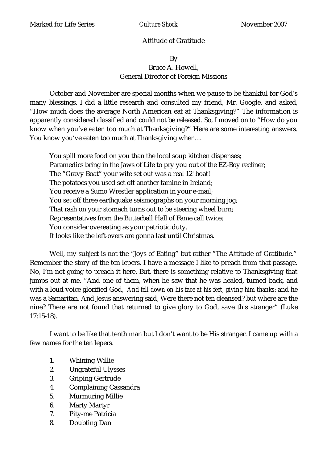## Attitude of Gratitude

## By Bruce A. Howell, General Director of Foreign Missions

October and November are special months when we pause to be thankful for God's many blessings. I did a little research and consulted my friend, Mr. Google, and asked, "How much does the average North American eat at Thanksgiving?" The information is apparently considered classified and could not be released. So, I moved on to "How do you know when you've eaten too much at Thanksgiving?" Here are some interesting answers. You know you've eaten too much at Thanksgiving when…

You spill more food on you than the local soup kitchen dispenses; Paramedics bring in the Jaws of Life to pry you out of the EZ-Boy recliner; The "Gravy Boat" your wife set out was a real 12' boat! The potatoes you used set off another famine in Ireland; You receive a Sumo Wrestler application in your e-mail; You set off three earthquake seismographs on your morning jog; That rash on your stomach turns out to be steering wheel burn; Representatives from the Butterball Hall of Fame call twice; You consider overeating as your patriotic duty. It looks like the left-overs are gonna last until Christmas.

Well, my subject is not the "Joys of Eating" but rather "The Attitude of Gratitude." Remember the story of the ten lepers. I have a message I like to preach from that passage. No, I'm not going to preach it here. But, there is something relative to Thanksgiving that jumps out at me. "And one of them, when he saw that he was healed, turned back, and with a loud voice glorified God, *And fell down on his face at his feet, giving him thanks*: and he was a Samaritan. And Jesus answering said, Were there not ten cleansed? but where are the nine? There are not found that returned to give glory to God, save this stranger" (Luke 17:15-18).

I want to be like that tenth man but I don't want to be His stranger. I came up with a few names for the ten lepers.

- 1. Whining Willie
- 2. Ungrateful Ulysses
- 3. Griping Gertrude
- 4. Complaining Cassandra
- 5. Murmuring Millie
- 6. Marty Martyr
- 7. Pity-me Patricia
- 8. Doubting Dan